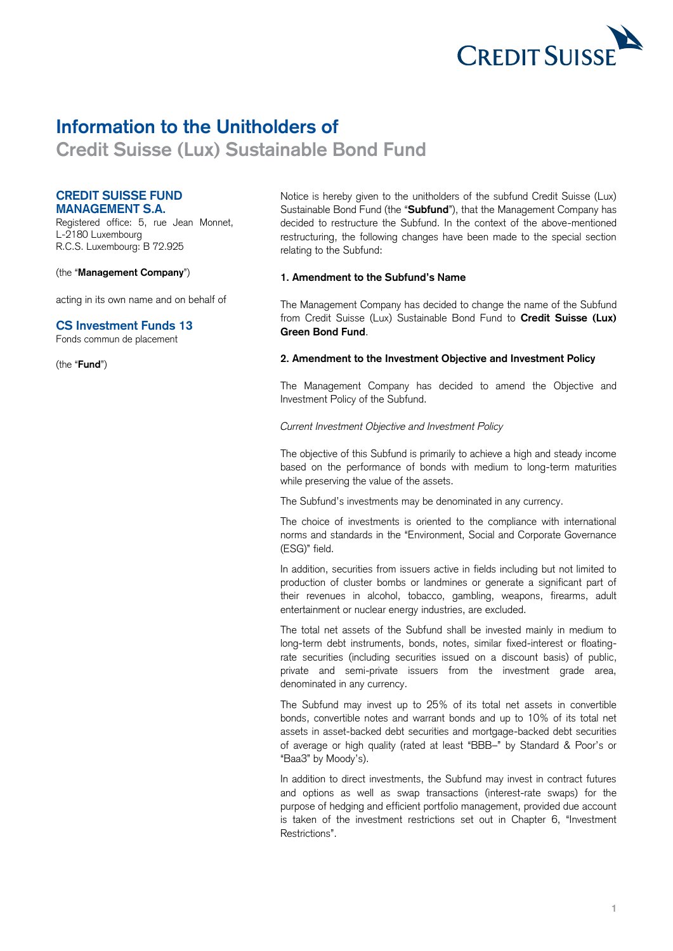

# **Information to the Unitholders of**

 **Credit Suisse (Lux) Sustainable Bond Fund** 

## **CREDIT SUISSE FUND MANAGEMENT S.A.**

 Registered office: 5, rue Jean Monnet, L-2180 Luxembourg R.C.S. Luxembourg: B 72.925

(the "**Management Company**")

acting in its own name and on behalf of

# **CS Investment Funds 13**

Fonds commun de placement

(the "**Fund**")

 Notice is hereby given to the unitholders of the subfund Credit Suisse (Lux) decided to restructure the Subfund. In the context of the above-mentioned restructuring, the following changes have been made to the special section Sustainable Bond Fund (the "**Subfund**"), that the Management Company has relating to the Subfund:

## **1. Amendment to the Subfund's Name**

 The Management Company has decided to change the name of the Subfund from Credit Suisse (Lux) Sustainable Bond Fund to **Credit Suisse (Lux) Green Bond Fund**.

### **2. Amendment to the Investment Objective and Investment Policy**

 The Management Company has decided to amend the Objective and Investment Policy of the Subfund.

#### *Current Investment Objective and Investment Policy*

 The objective of this Subfund is primarily to achieve a high and steady income based on the performance of bonds with medium to long-term maturities while preserving the value of the assets.

The Subfund's investments may be denominated in any currency.

 The choice of investments is oriented to the compliance with international norms and standards in the "Environment, Social and Corporate Governance (ESG)" field.

 In addition, securities from issuers active in fields including but not limited to production of cluster bombs or landmines or generate a significant part of their revenues in alcohol, tobacco, gambling, weapons, firearms, adult entertainment or nuclear energy industries, are excluded.

 The total net assets of the Subfund shall be invested mainly in medium to long-term debt instruments, bonds, notes, similar fixed-interest or floating- rate securities (including securities issued on a discount basis) of public, private and semi-private issuers from the investment grade area, denominated in any currency.

 The Subfund may invest up to 25% of its total net assets in convertible bonds, convertible notes and warrant bonds and up to 10% of its total net of average or high quality (rated at least "BBB–" by Standard & Poor's or assets in asset-backed debt securities and mortgage-backed debt securities "Baa3" by Moody's).

 In addition to direct investments, the Subfund may invest in contract futures and options as well as swap transactions (interest-rate swaps) for the is taken of the investment restrictions set out in Chapter 6, "Investment purpose of hedging and efficient portfolio management, provided due account Restrictions".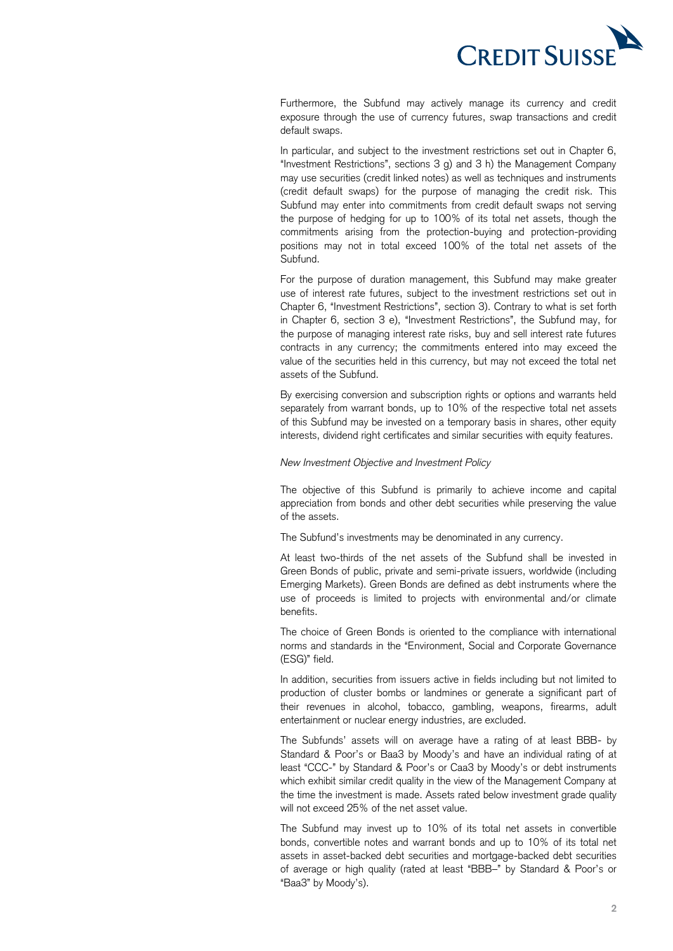

 Furthermore, the Subfund may actively manage its currency and credit exposure through the use of currency futures, swap transactions and credit default swaps.

 In particular, and subject to the investment restrictions set out in Chapter 6, "Investment Restrictions", sections 3 g) and 3 h) the Management Company (credit default swaps) for the purpose of managing the credit risk. This Subfund may enter into commitments from credit default swaps not serving the purpose of hedging for up to 100% of its total net assets, though the positions may not in total exceed 100% of the total net assets of the may use securities (credit linked notes) as well as techniques and instruments commitments arising from the protection-buying and protection-providing Subfund.

 For the purpose of duration management, this Subfund may make greater use of interest rate futures, subject to the investment restrictions set out in Chapter 6, "Investment Restrictions", section 3). Contrary to what is set forth in Chapter 6, section 3 e), "Investment Restrictions", the Subfund may, for the purpose of managing interest rate risks, buy and sell interest rate futures contracts in any currency; the commitments entered into may exceed the value of the securities held in this currency, but may not exceed the total net assets of the Subfund.

 By exercising conversion and subscription rights or options and warrants held separately from warrant bonds, up to 10% of the respective total net assets of this Subfund may be invested on a temporary basis in shares, other equity interests, dividend right certificates and similar securities with equity features.

#### *New Investment Objective and Investment Policy*

 The objective of this Subfund is primarily to achieve income and capital appreciation from bonds and other debt securities while preserving the value of the assets.

The Subfund's investments may be denominated in any currency.

 At least two-thirds of the net assets of the Subfund shall be invested in Green Bonds of public, private and semi-private issuers, worldwide (including Emerging Markets). Green Bonds are defined as debt instruments where the use of proceeds is limited to projects with environmental and/or climate benefits.

 The choice of Green Bonds is oriented to the compliance with international norms and standards in the "Environment, Social and Corporate Governance (ESG)" field.

 In addition, securities from issuers active in fields including but not limited to production of cluster bombs or landmines or generate a significant part of their revenues in alcohol, tobacco, gambling, weapons, firearms, adult entertainment or nuclear energy industries, are excluded.

 The Subfunds' assets will on average have a rating of at least BBB- by Standard & Poor's or Baa3 by Moody's and have an individual rating of at least "CCC-" by Standard & Poor's or Caa3 by Moody's or debt instruments which exhibit similar credit quality in the view of the Management Company at the time the investment is made. Assets rated below investment grade quality will not exceed 25% of the net asset value.

 The Subfund may invest up to 10% of its total net assets in convertible bonds, convertible notes and warrant bonds and up to 10% of its total net of average or high quality (rated at least "BBB–" by Standard & Poor's or assets in asset-backed debt securities and mortgage-backed debt securities "Baa3" by Moody's).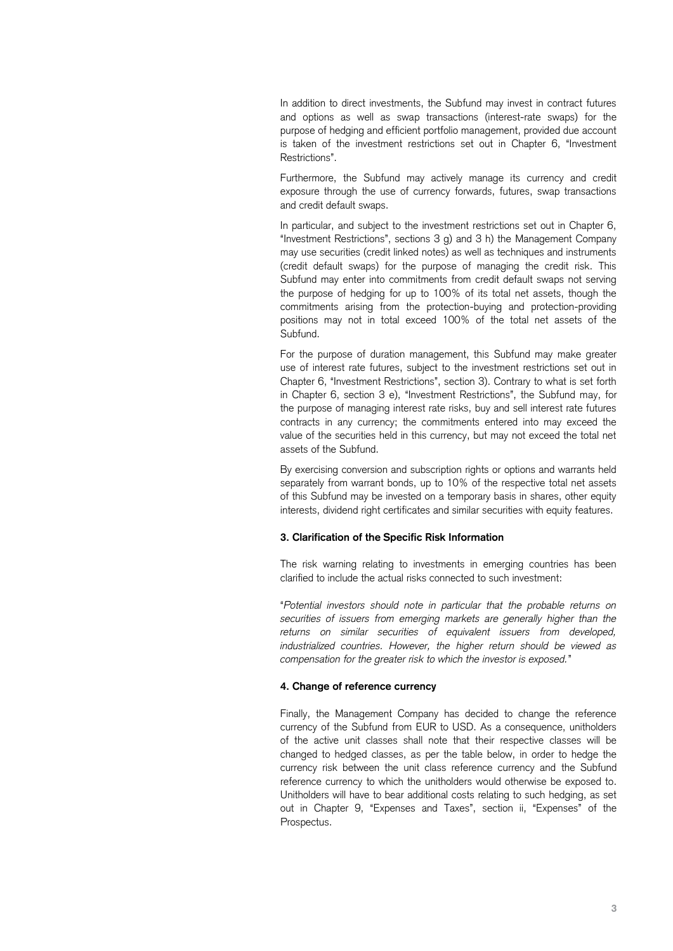In addition to direct investments, the Subfund may invest in contract futures and options as well as swap transactions (interest-rate swaps) for the is taken of the investment restrictions set out in Chapter 6, "Investment purpose of hedging and efficient portfolio management, provided due account Restrictions".

 Furthermore, the Subfund may actively manage its currency and credit exposure through the use of currency forwards, futures, swap transactions and credit default swaps.

 In particular, and subject to the investment restrictions set out in Chapter 6, "Investment Restrictions", sections 3 g) and 3 h) the Management Company (credit default swaps) for the purpose of managing the credit risk. This Subfund may enter into commitments from credit default swaps not serving the purpose of hedging for up to 100% of its total net assets, though the positions may not in total exceed 100% of the total net assets of the may use securities (credit linked notes) as well as techniques and instruments commitments arising from the protection-buying and protection-providing Subfund.

 For the purpose of duration management, this Subfund may make greater use of interest rate futures, subject to the investment restrictions set out in Chapter 6, "Investment Restrictions", section 3). Contrary to what is set forth in Chapter 6, section 3 e), "Investment Restrictions", the Subfund may, for the purpose of managing interest rate risks, buy and sell interest rate futures contracts in any currency; the commitments entered into may exceed the value of the securities held in this currency, but may not exceed the total net assets of the Subfund.

 By exercising conversion and subscription rights or options and warrants held separately from warrant bonds, up to 10% of the respective total net assets of this Subfund may be invested on a temporary basis in shares, other equity interests, dividend right certificates and similar securities with equity features.

#### **3. Clarification of the Specific Risk Information**

The risk warning relating to investments in emerging countries has been clarified to include the actual risks connected to such investment:

 "*Potential investors should note in particular that the probable returns on securities of issuers from emerging markets are generally higher than the returns on similar securities of equivalent issuers from developed, industrialized countries. However, the higher return should be viewed as compensation for the greater risk to which the investor is exposed.*"

#### **4. Change of reference currency**

 Finally, the Management Company has decided to change the reference currency of the Subfund from EUR to USD. As a consequence, unitholders of the active unit classes shall note that their respective classes will be changed to hedged classes, as per the table below, in order to hedge the currency risk between the unit class reference currency and the Subfund reference currency to which the unitholders would otherwise be exposed to. Unitholders will have to bear additional costs relating to such hedging, as set out in Chapter 9, "Expenses and Taxes", section ii, "Expenses" of the Prospectus.